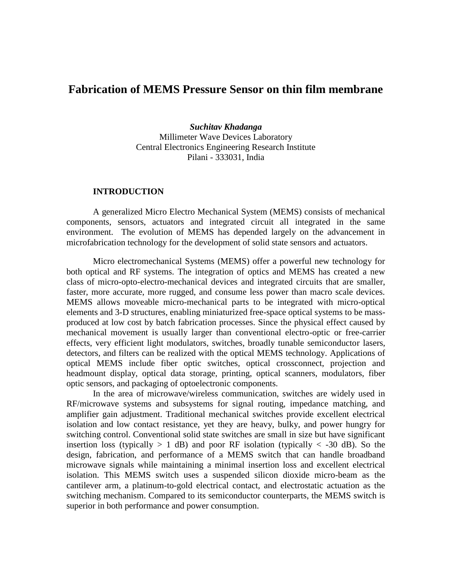# **Fabrication of MEMS Pressure Sensor on thin film membrane**

*Suchitav Khadanga* Millimeter Wave Devices Laboratory Central Electronics Engineering Research Institute Pilani - 333031, India

#### **INTRODUCTION**

A generalized Micro Electro Mechanical System (MEMS) consists of mechanical components, sensors, actuators and integrated circuit all integrated in the same environment. The evolution of MEMS has depended largely on the advancement in microfabrication technology for the development of solid state sensors and actuators.

Micro electromechanical Systems (MEMS) offer a powerful new technology for both optical and RF systems. The integration of optics and MEMS has created a new class of micro-opto-electro-mechanical devices and integrated circuits that are smaller, faster, more accurate, more rugged, and consume less power than macro scale devices. MEMS allows moveable micro-mechanical parts to be integrated with micro-optical elements and 3-D structures, enabling miniaturized free-space optical systems to be massproduced at low cost by batch fabrication processes. Since the physical effect caused by mechanical movement is usually larger than conventional electro-optic or free-carrier effects, very efficient light modulators, switches, broadly tunable semiconductor lasers, detectors, and filters can be realized with the optical MEMS technology. Applications of optical MEMS include fiber optic switches, optical crossconnect, projection and headmount display, optical data storage, printing, optical scanners, modulators, fiber optic sensors, and packaging of optoelectronic components.

In the area of microwave/wireless communication, switches are widely used in RF/microwave systems and subsystems for signal routing, impedance matching, and amplifier gain adjustment. Traditional mechanical switches provide excellent electrical isolation and low contact resistance, yet they are heavy, bulky, and power hungry for switching control. Conventional solid state switches are small in size but have significant insertion loss (typically  $> 1$  dB) and poor RF isolation (typically  $< -30$  dB). So the design, fabrication, and performance of a MEMS switch that can handle broadband microwave signals while maintaining a minimal insertion loss and excellent electrical isolation. This MEMS switch uses a suspended silicon dioxide micro-beam as the cantilever arm, a platinum-to-gold electrical contact, and electrostatic actuation as the switching mechanism. Compared to its semiconductor counterparts, the MEMS switch is superior in both performance and power consumption.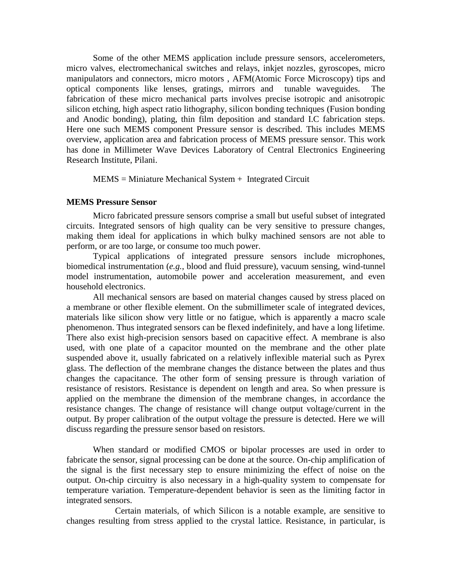Some of the other MEMS application include pressure sensors, accelerometers, micro valves, electromechanical switches and relays, inkjet nozzles, gyroscopes, micro manipulators and connectors, micro motors , AFM(Atomic Force Microscopy) tips and optical components like lenses, gratings, mirrors and tunable waveguides. The fabrication of these micro mechanical parts involves precise isotropic and anisotropic silicon etching, high aspect ratio lithography, silicon bonding techniques (Fusion bonding and Anodic bonding), plating, thin film deposition and standard I.C fabrication steps. Here one such MEMS component Pressure sensor is described. This includes MEMS overview, application area and fabrication process of MEMS pressure sensor. This work has done in Millimeter Wave Devices Laboratory of Central Electronics Engineering Research Institute, Pilani.

 $MEMS = Miniature Mechanical System + Integrated Circuit$ 

#### **MEMS Pressure Sensor**

Micro fabricated pressure sensors comprise a small but useful subset of integrated circuits. Integrated sensors of high quality can be very sensitive to pressure changes, making them ideal for applications in which bulky machined sensors are not able to perform, or are too large, or consume too much power.

Typical applications of integrated pressure sensors include microphones, biomedical instrumentation (*e.g.*, blood and fluid pressure), vacuum sensing, wind-tunnel model instrumentation, automobile power and acceleration measurement, and even household electronics.

All mechanical sensors are based on material changes caused by stress placed on a membrane or other flexible element. On the submillimeter scale of integrated devices, materials like silicon show very little or no fatigue, which is apparently a macro scale phenomenon. Thus integrated sensors can be flexed indefinitely, and have a long lifetime. There also exist high-precision sensors based on capacitive effect. A membrane is also used, with one plate of a capacitor mounted on the membrane and the other plate suspended above it, usually fabricated on a relatively inflexible material such as Pyrex glass. The deflection of the membrane changes the distance between the plates and thus changes the capacitance. The other form of sensing pressure is through variation of resistance of resistors. Resistance is dependent on length and area. So when pressure is applied on the membrane the dimension of the membrane changes, in accordance the resistance changes. The change of resistance will change output voltage/current in the output. By proper calibration of the output voltage the pressure is detected. Here we will discuss regarding the pressure sensor based on resistors.

When standard or modified CMOS or bipolar processes are used in order to fabricate the sensor, signal processing can be done at the source. On-chip amplification of the signal is the first necessary step to ensure minimizing the effect of noise on the output. On-chip circuitry is also necessary in a high-quality system to compensate for temperature variation. Temperature-dependent behavior is seen as the limiting factor in integrated sensors.

 Certain materials, of which Silicon is a notable example, are sensitive to changes resulting from stress applied to the crystal lattice. Resistance, in particular, is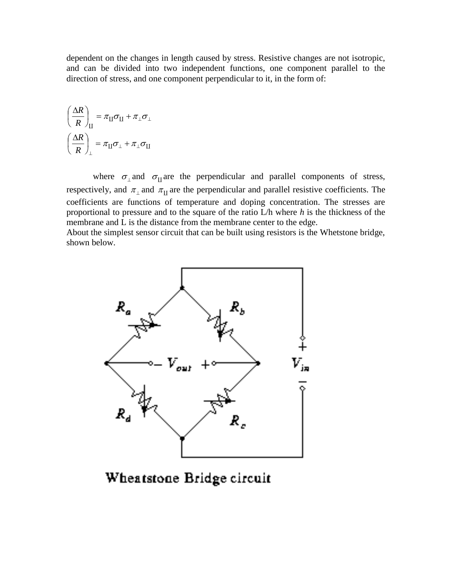dependent on the changes in length caused by stress. Resistive changes are not isotropic, and can be divided into two independent functions, one component parallel to the direction of stress, and one component perpendicular to it, in the form of:

$$
\left(\frac{\Delta R}{R}\right)_{\rm II} = \pi_{\rm II}\sigma_{\rm II} + \pi_{\perp}\sigma_{\perp}
$$

$$
\left(\frac{\Delta R}{R}\right)_{\perp} = \pi_{\rm II}\sigma_{\perp} + \pi_{\perp}\sigma_{\rm II}
$$

where  $\sigma_{\perp}$  and  $\sigma_{\text{II}}$  are the perpendicular and parallel components of stress, respectively, and  $\pi_{\perp}$  and  $\pi_{\text{II}}$  are the perpendicular and parallel resistive coefficients. The coefficients are functions of temperature and doping concentration. The stresses are proportional to pressure and to the square of the ratio L/h where *h* is the thickness of the membrane and L is the distance from the membrane center to the edge.

About the simplest sensor circuit that can be built using resistors is the Whetstone bridge, shown below.



Wheatstone Bridge circuit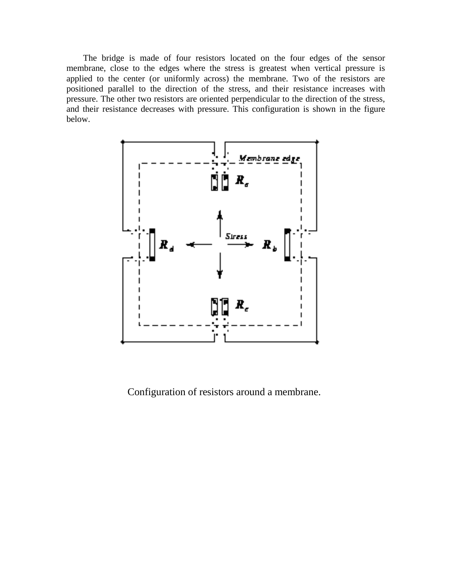The bridge is made of four resistors located on the four edges of the sensor membrane, close to the edges where the stress is greatest when vertical pressure is applied to the center (or uniformly across) the membrane. Two of the resistors are positioned parallel to the direction of the stress, and their resistance increases with pressure. The other two resistors are oriented perpendicular to the direction of the stress, and their resistance decreases with pressure. This configuration is shown in the figure below.



Configuration of resistors around a membrane.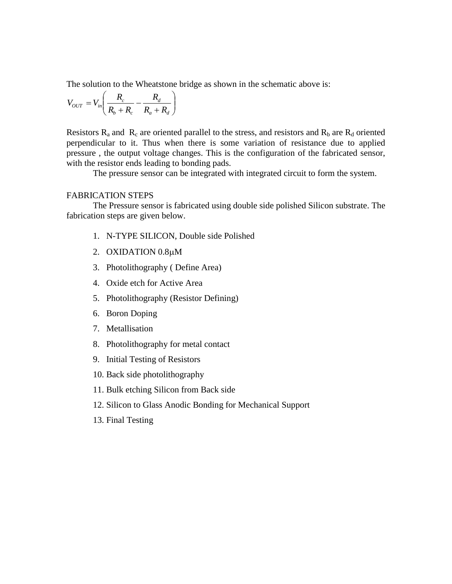The solution to the Wheatstone bridge as shown in the schematic above is:

$$
V_{OUT} = V_{in} \left( \frac{R_c}{R_b + R_c} - \frac{R_d}{R_a + R_d} \right)
$$

Resistors  $R_a$  and  $R_c$  are oriented parallel to the stress, and resistors and  $R_b$  are  $R_d$  oriented perpendicular to it. Thus when there is some variation of resistance due to applied pressure , the output voltage changes. This is the configuration of the fabricated sensor, with the resistor ends leading to bonding pads.

The pressure sensor can be integrated with integrated circuit to form the system.

#### FABRICATION STEPS

The Pressure sensor is fabricated using double side polished Silicon substrate. The fabrication steps are given below.

- 1. N-TYPE SILICON, Double side Polished
- 2. OXIDATION 0.8µM
- 3. Photolithography ( Define Area)
- 4. Oxide etch for Active Area
- 5. Photolithography (Resistor Defining)
- 6. Boron Doping
- 7. Metallisation
- 8. Photolithography for metal contact
- 9. Initial Testing of Resistors
- 10. Back side photolithography
- 11. Bulk etching Silicon from Back side
- 12. Silicon to Glass Anodic Bonding for Mechanical Support
- 13. Final Testing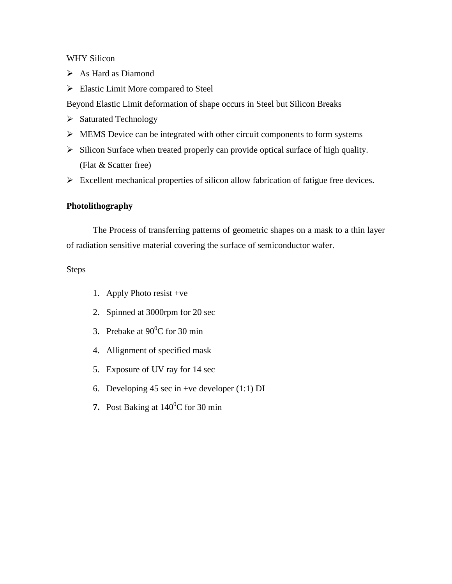### WHY Silicon

- As Hard as Diamond
- $\triangleright$  Elastic Limit More compared to Steel

Beyond Elastic Limit deformation of shape occurs in Steel but Silicon Breaks

- $\triangleright$  Saturated Technology
- $\triangleright$  MEMS Device can be integrated with other circuit components to form systems
- $\triangleright$  Silicon Surface when treated properly can provide optical surface of high quality. (Flat & Scatter free)
- $\triangleright$  Excellent mechanical properties of silicon allow fabrication of fatigue free devices.

### **Photolithography**

The Process of transferring patterns of geometric shapes on a mask to a thin layer of radiation sensitive material covering the surface of semiconductor wafer.

### Steps

- 1. Apply Photo resist +ve
- 2. Spinned at 3000rpm for 20 sec
- 3. Prebake at  $90^{\circ}$ C for 30 min
- 4. Allignment of specified mask
- 5. Exposure of UV ray for 14 sec
- 6. Developing 45 sec in +ve developer  $(1:1)$  DI
- **7.** Post Baking at  $140^{\circ}$ C for 30 min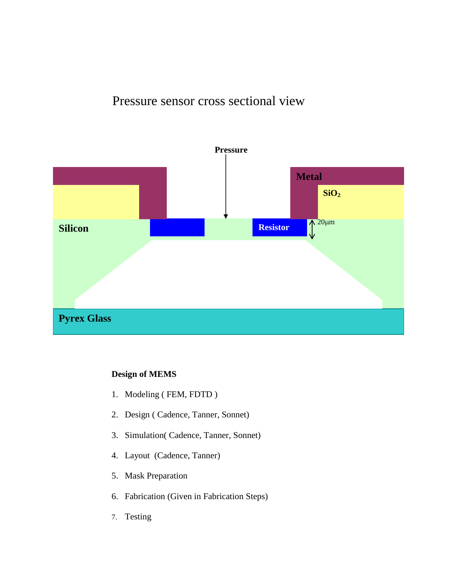# Pressure sensor cross sectional view



### **Design of MEMS**

- 1. Modeling ( FEM, FDTD )
- 2. Design ( Cadence, Tanner, Sonnet)
- 3. Simulation( Cadence, Tanner, Sonnet)
- 4. Layout (Cadence, Tanner)
- 5. Mask Preparation
- 6. Fabrication (Given in Fabrication Steps)
- 7. Testing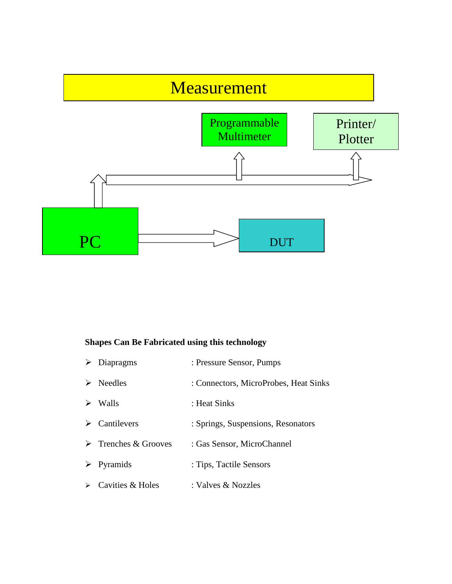

# **Shapes Can Be Fabricated using this technology**

| $\triangleright$ Diapragms          | : Pressure Sensor, Pumps              |
|-------------------------------------|---------------------------------------|
| $\triangleright$ Needles            | : Connectors, MicroProbes, Heat Sinks |
| $\triangleright$ Walls              | : Heat Sinks                          |
| $\triangleright$ Cantilevers        | : Springs, Suspensions, Resonators    |
| $\triangleright$ Trenches & Grooves | : Gas Sensor, MicroChannel            |
| $\triangleright$ Pyramids           | : Tips, Tactile Sensors               |
| $\triangleright$ Cavities & Holes   | : Valves & Nozzles                    |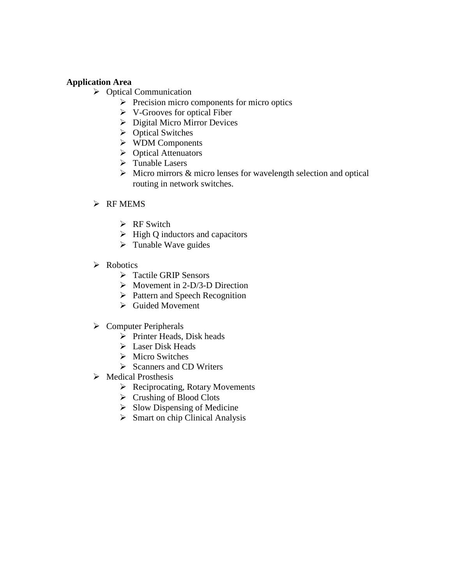### **Application Area**

- $\triangleright$  Optical Communication
	- $\triangleright$  Precision micro components for micro optics
	- $\triangleright$  V-Grooves for optical Fiber
	- $\triangleright$  Digital Micro Mirror Devices
	- ▶ Optical Switches
	- WDM Components
	- $\triangleright$  Optical Attenuators
	- $\triangleright$  Tunable Lasers
	- $\triangleright$  Micro mirrors & micro lenses for wavelength selection and optical routing in network switches.

### $\triangleright$  RF MEMS

- $\triangleright$  RF Switch
- $\triangleright$  High Q inductors and capacitors
- $\triangleright$  Tunable Wave guides
- $\triangleright$  Robotics
	- > Tactile GRIP Sensors
	- $\triangleright$  Movement in 2-D/3-D Direction
	- $\triangleright$  Pattern and Speech Recognition
	- $\triangleright$  Guided Movement
- $\triangleright$  Computer Peripherals
	- $\triangleright$  Printer Heads, Disk heads
	- $\triangleright$  Laser Disk Heads
	- $\triangleright$  Micro Switches
	- $\triangleright$  Scanners and CD Writers
- Medical Prosthesis
	- $\triangleright$  Reciprocating, Rotary Movements
	- $\triangleright$  Crushing of Blood Clots
	- $\triangleright$  Slow Dispensing of Medicine
	- $\triangleright$  Smart on chip Clinical Analysis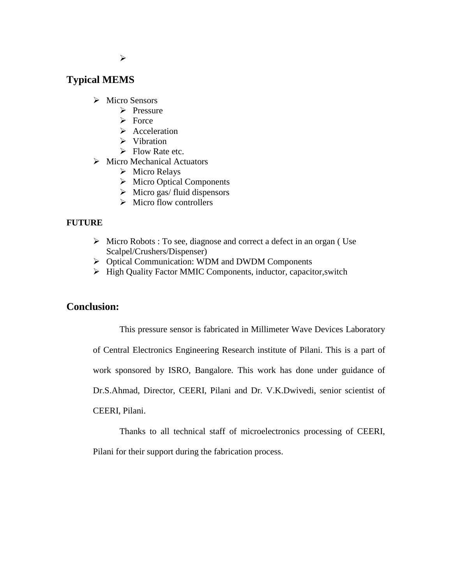## **Typical MEMS**

- > Micro Sensors
	- $\triangleright$  Pressure
	- $\triangleright$  Force
	- $\triangleright$  Acceleration
	- $\triangleright$  Vibration
	- $\triangleright$  Flow Rate etc.
- $\triangleright$  Micro Mechanical Actuators
	- $\triangleright$  Micro Relays
	- $\triangleright$  Micro Optical Components
	- $\triangleright$  Micro gas/ fluid dispensors
	- $\triangleright$  Micro flow controllers

### **FUTURE**

- $\triangleright$  Micro Robots : To see, diagnose and correct a defect in an organ (Use Scalpel/Crushers/Dispenser)
- Optical Communication: WDM and DWDM Components
- $\triangleright$  High Quality Factor MMIC Components, inductor, capacitor, switch

### **Conclusion:**

This pressure sensor is fabricated in Millimeter Wave Devices Laboratory

of Central Electronics Engineering Research institute of Pilani. This is a part of work sponsored by ISRO, Bangalore. This work has done under guidance of Dr.S.Ahmad, Director, CEERI, Pilani and Dr. V.K.Dwivedi, senior scientist of

CEERI, Pilani.

Thanks to all technical staff of microelectronics processing of CEERI, Pilani for their support during the fabrication process.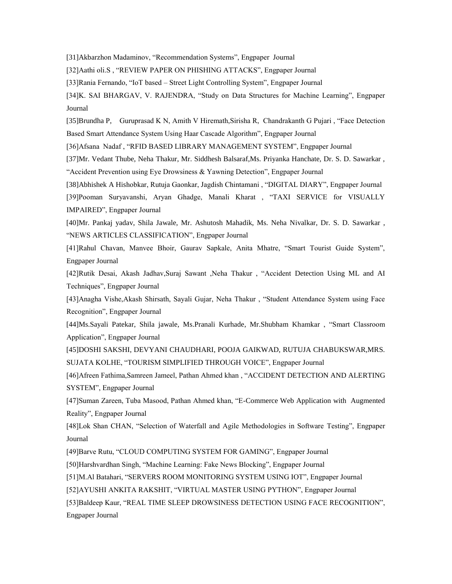[31]Akbarzhon Madaminov, "Recommendation Systems", Engpaper Journal

[32]Aathi oli.S , "REVIEW PAPER ON PHISHING ATTACKS", Engpaper Journal

[33]Rania Fernando, "IoT based – Street Light Controlling System", Engpaper Journal

[34]K. SAI BHARGAV, V. RAJENDRA, "Study on Data Structures for Machine Learning", Engpaper Journal

[35]Brundha P, Guruprasad K N, Amith V Hiremath,Sirisha R, Chandrakanth G Pujari , "Face Detection Based Smart Attendance System Using Haar Cascade Algorithm", Engpaper Journal

[36]Afsana Nadaf , "RFID BASED LIBRARY MANAGEMENT SYSTEM", Engpaper Journal

[37]Mr. Vedant Thube, Neha Thakur, Mr. Siddhesh Balsaraf,Ms. Priyanka Hanchate, Dr. S. D. Sawarkar ,

"Accident Prevention using Eye Drowsiness & Yawning Detection", Engpaper Journal

[38]Abhishek A Hishobkar, Rutuja Gaonkar, Jagdish Chintamani , "DIGITAL DIARY", Engpaper Journal

[39]Pooman Suryavanshi, Aryan Ghadge, Manali Kharat , "TAXI SERVICE for VISUALLY IMPAIRED", Engpaper Journal

[40]Mr. Pankaj yadav, Shila Jawale, Mr. Ashutosh Mahadik, Ms. Neha Nivalkar, Dr. S. D. Sawarkar , "NEWS ARTICLES CLASSIFICATION", Engpaper Journal

[41]Rahul Chavan, Manvee Bhoir, Gaurav Sapkale, Anita Mhatre, "Smart Tourist Guide System", Engpaper Journal

[42]Rutik Desai, Akash Jadhav,Suraj Sawant ,Neha Thakur , "Accident Detection Using ML and AI Techniques", Engpaper Journal

[43]Anagha Vishe,Akash Shirsath, Sayali Gujar, Neha Thakur , "Student Attendance System using Face Recognition", Engpaper Journal

[44]Ms.Sayali Patekar, Shila jawale, Ms.Pranali Kurhade, Mr.Shubham Khamkar , "Smart Classroom Application", Engpaper Journal

[45]DOSHI SAKSHI, DEVYANI CHAUDHARI, POOJA GAIKWAD, RUTUJA CHABUKSWAR,MRS. SUJATA KOLHE, "TOURISM SIMPLIFIED THROUGH VOICE", Engpaper Journal

[46]Afreen Fathima,Samreen Jameel, Pathan Ahmed khan , "ACCIDENT DETECTION AND ALERTING SYSTEM", Engpaper Journal

[47]Suman Zareen, Tuba Masood, Pathan Ahmed khan, "E-Commerce Web Application with Augmented Reality", Engpaper Journal

[48]Lok Shan CHAN, "Selection of Waterfall and Agile Methodologies in Software Testing", Engpaper Journal

[49]Barve Rutu, "CLOUD COMPUTING SYSTEM FOR GAMING", Engpaper Journal

[50]Harshvardhan Singh, "Machine Learning: Fake News Blocking", Engpaper Journal

[51]M.Al Batahari, "SERVERS ROOM MONITORING SYSTEM USING IOT", Engpaper Journal

[52]AYUSHI ANKITA RAKSHIT, "VIRTUAL MASTER USING PYTHON", Engpaper Journal

[53]Baldeep Kaur, "REAL TIME SLEEP DROWSINESS DETECTION USING FACE RECOGNITION", Engpaper Journal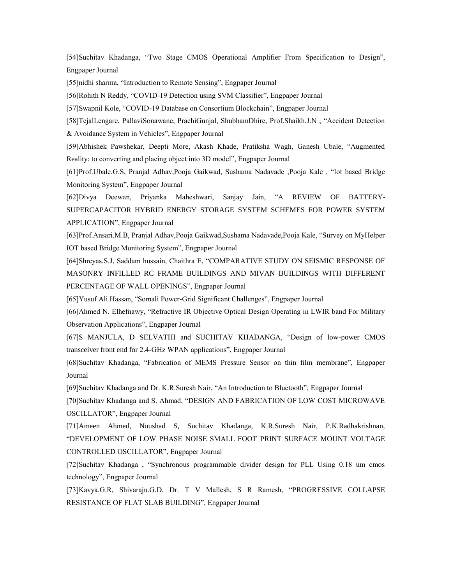[54]Suchitav Khadanga, "Two Stage CMOS Operational Amplifier From Specification to Design", Engpaper Journal

[55]nidhi sharma, "Introduction to Remote Sensing", Engpaper Journal

[56]Rohith N Reddy, "COVID-19 Detection using SVM Classifier", Engpaper Journal

[57]Swapnil Kole, "COVID-19 Database on Consortium Blockchain", Engpaper Journal

[58]TejalLengare, PallaviSonawane, PrachiGunjal, ShubhamDhire, Prof.Shaikh.J.N , "Accident Detection & Avoidance System in Vehicles", Engpaper Journal

[59]Abhishek Pawshekar, Deepti More, Akash Khade, Pratiksha Wagh, Ganesh Ubale, "Augmented Reality: to converting and placing object into 3D model", Engpaper Journal

[61]Prof.Ubale.G.S, Pranjal Adhav,Pooja Gaikwad, Sushama Nadavade ,Pooja Kale , "Iot based Bridge Monitoring System", Engpaper Journal

[62]Divya Deewan, Priyanka Maheshwari, Sanjay Jain, "A REVIEW OF BATTERY-SUPERCAPACITOR HYBRID ENERGY STORAGE SYSTEM SCHEMES FOR POWER SYSTEM APPLICATION", Engpaper Journal

[63]Prof.Ansari.M.B, Pranjal Adhav,Pooja Gaikwad,Sushama Nadavade,Pooja Kale, "Survey on MyHelper IOT based Bridge Monitoring System", Engpaper Journal

[64]Shreyas.S.J, Saddam hussain, Chaithra E, "COMPARATIVE STUDY ON SEISMIC RESPONSE OF MASONRY INFILLED RC FRAME BUILDINGS AND MIVAN BUILDINGS WITH DIFFERENT PERCENTAGE OF WALL OPENINGS", Engpaper Journal

[65]Yusuf Ali Hassan, "Somali Power-Grid Significant Challenges", Engpaper Journal

[66]Ahmed N. Elhefnawy, "Refractive IR Objective Optical Design Operating in LWIR band For Military Observation Applications", Engpaper Journal

[67]S MANJULA, D SELVATHI and SUCHITAV KHADANGA, "Design of low-power CMOS transceiver front end for 2.4-GHz WPAN applications", Engpaper Journal

[68]Suchitav Khadanga, "Fabrication of MEMS Pressure Sensor on thin film membrane", Engpaper Journal

[69]Suchitav Khadanga and Dr. K.R.Suresh Nair, "An Introduction to Bluetooth", Engpaper Journal

[70]Suchitav Khadanga and S. Ahmad, "DESIGN AND FABRICATION OF LOW COST MICROWAVE OSCILLATOR", Engpaper Journal

[71]Ameen Ahmed, Noushad S, Suchitav Khadanga, K.R.Suresh Nair, P.K.Radhakrishnan, "DEVELOPMENT OF LOW PHASE NOISE SMALL FOOT PRINT SURFACE MOUNT VOLTAGE CONTROLLED OSCILLATOR", Engpaper Journal

[72]Suchitav Khadanga , "Synchronous programmable divider design for PLL Using 0.18 um cmos technology", Engpaper Journal

[73]Kavya.G.R, Shivaraju.G.D, Dr. T V Mallesh, S R Ramesh, "PROGRESSIVE COLLAPSE RESISTANCE OF FLAT SLAB BUILDING", Engpaper Journal